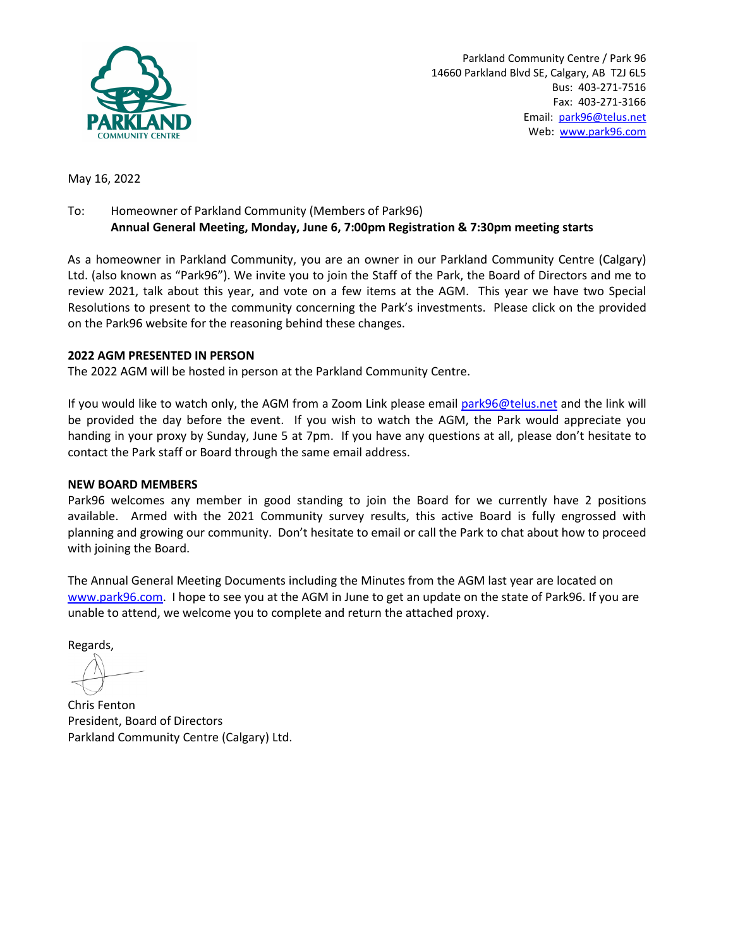

Parkland Community Centre / Park 96 14660 Parkland Blvd SE, Calgary, AB T2J 6L5 Bus: 403-271-7516 Fax: 403-271-3166 Email: park96@telus.net Web: www.park96.com

May 16, 2022

# To: Homeowner of Parkland Community (Members of Park96) **Annual General Meeting, Monday, June 6, 7:00pm Registration & 7:30pm meeting starts**

As a homeowner in Parkland Community, you are an owner in our Parkland Community Centre (Calgary) Ltd. (also known as "Park96"). We invite you to join the Staff of the Park, the Board of Directors and me to review 2021, talk about this year, and vote on a few items at the AGM. This year we have two Special Resolutions to present to the community concerning the Park's investments. Please click on the provided on the Park96 website for the reasoning behind these changes.

## **2022 AGM PRESENTED IN PERSON**

The 2022 AGM will be hosted in person at the Parkland Community Centre.

If you would like to watch only, the AGM from a Zoom Link please email [park96@telus.net](mailto:park96@telus.net) and the link will be provided the day before the event. If you wish to watch the AGM, the Park would appreciate you handing in your proxy by Sunday, June 5 at 7pm. If you have any questions at all, please don't hesitate to contact the Park staff or Board through the same email address.

#### **NEW BOARD MEMBERS**

Park96 welcomes any member in good standing to join the Board for we currently have 2 positions available. Armed with the 2021 Community survey results, this active Board is fully engrossed with planning and growing our community. Don't hesitate to email or call the Park to chat about how to proceed with joining the Board.

The Annual General Meeting Documents including the Minutes from the AGM last year are located on [www.park96.com.](http://www.park96.com/) I hope to see you at the AGM in June to get an update on the state of Park96. If you are unable to attend, we welcome you to complete and return the attached proxy.

Regards,

Chris Fenton President, Board of Directors Parkland Community Centre (Calgary) Ltd.